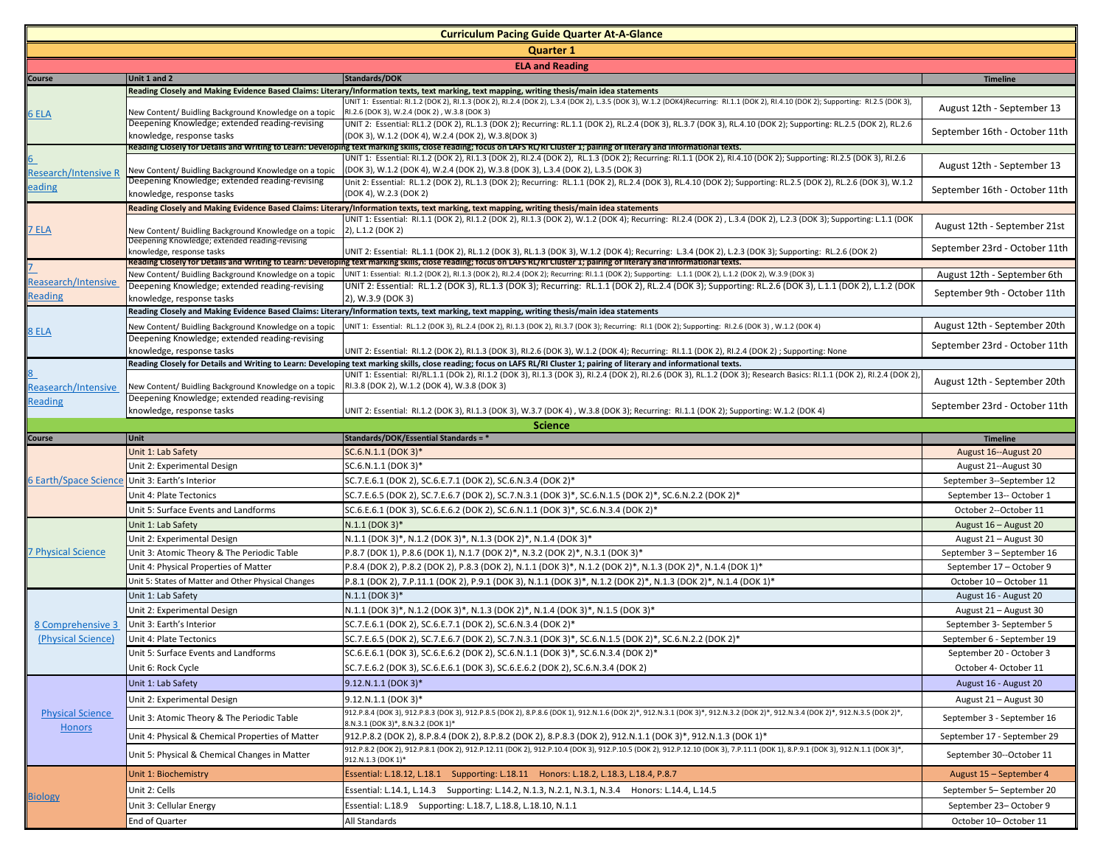| <b>Curriculum Pacing Guide Quarter At-A-Glance</b> |                                                                                              |                                                                                                                                                                                                                                                                                                                                                   |                                                     |  |  |
|----------------------------------------------------|----------------------------------------------------------------------------------------------|---------------------------------------------------------------------------------------------------------------------------------------------------------------------------------------------------------------------------------------------------------------------------------------------------------------------------------------------------|-----------------------------------------------------|--|--|
| <b>Quarter 1</b>                                   |                                                                                              |                                                                                                                                                                                                                                                                                                                                                   |                                                     |  |  |
| <b>ELA and Reading</b>                             |                                                                                              |                                                                                                                                                                                                                                                                                                                                                   |                                                     |  |  |
| Course                                             | Unit 1 and 2                                                                                 | Standards/DOK                                                                                                                                                                                                                                                                                                                                     | <b>Timeline</b>                                     |  |  |
| 6 ELA                                              |                                                                                              | Reading Closely and Making Evidence Based Claims: Literary/Information texts, text marking, text mapping, writing thesis/main idea statements<br>JNIT 1: Essential: RI.1.2 (DOK 2), RI.1.3 (DOK 2), RI.2.4 (DOK 2), L.3.4 (DOK 2), L.3.5 (DOK 3), W.1.2 (DOK4)Recurring: RI.1.1 (DOK 2), RI.4.10 (DOK 2); Supporting: RI.2.5 (DOK 3),             |                                                     |  |  |
|                                                    | New Content/ Buidling Background Knowledge on a topic                                        | RI.2.6 (DOK 3), W.2.4 (DOK 2), W.3.8 (DOK 3)                                                                                                                                                                                                                                                                                                      | August 12th - September 13                          |  |  |
|                                                    | Deepening Knowledge; extended reading-revising                                               | UNIT 2: Essential: RL1.2 (DOK 2), RL.1.3 (DOK 2); Recurring: RL.1.1 (DOK 2), RL.2.4 (DOK 3), RL.3.7 (DOK 3), RL.4.10 (DOK 2); Supporting: RL.2.5 (DOK 2), RL.2.6                                                                                                                                                                                  |                                                     |  |  |
|                                                    | knowledge, response tasks                                                                    | (DOK 3), W.1.2 (DOK 4), W.2.4 (DOK 2), W.3.8(DOK 3)                                                                                                                                                                                                                                                                                               | September 16th - October 11th                       |  |  |
|                                                    |                                                                                              | Reading Closely for Details and Writing to Learn: Developing text marking skills, close reading; focus on LAFS RL/RI Cluster 1; pairing of literary and informational texts.<br>JNIT 1: Essential: RI.1.2 (DOK 2), RI.1.3 (DOK 2), RI.2.4 (DOK 2), RL.1.3 (DOK 2); Recurring: RI.1.1 (DOK 2), RI.4.10 (DOK 2); Supporting: RI.2.5 (DOK 3), RI.2.6 |                                                     |  |  |
| Research/Intensive R                               | New Content/ Buidling Background Knowledge on a topic                                        | (DOK 3), W.1.2 (DOK 4), W.2.4 (DOK 2), W.3.8 (DOK 3), L.3.4 (DOK 2), L.3.5 (DOK 3)                                                                                                                                                                                                                                                                | August 12th - September 13                          |  |  |
| eading                                             | Deepening Knowledge; extended reading-revising                                               | Unit 2: Essential: RL.1.2 (DOK 2), RL.1.3 (DOK 2); Recurring: RL.1.1 (DOK 2), RL.2.4 (DOK 3), RL.4.10 (DOK 2); Supporting: RL.2.5 (DOK 2), RL.2.6 (DOK 3), W.1.2                                                                                                                                                                                  |                                                     |  |  |
|                                                    | knowledge, response tasks                                                                    | (DOK 4), W.2.3 (DOK 2)                                                                                                                                                                                                                                                                                                                            | September 16th - October 11th                       |  |  |
|                                                    |                                                                                              | Reading Closely and Making Evidence Based Claims: Literary/Information texts, text marking, text mapping, writing thesis/main idea statements<br>JNIT 1: Essential: RI.1.1 (DOK 2), RI.1.2 (DOK 2), RI.1.3 (DOK 2), W.1.2 (DOK 4); Recurring: RI.2.4 (DOK 2), L.3.4 (DOK 2), L.2.3 (DOK 3); Supporting: L.1.1 (DOK                                |                                                     |  |  |
| <b>7 ELA</b>                                       | New Content/ Buidling Background Knowledge on a topic                                        | 2), L.1.2 (DOK 2)                                                                                                                                                                                                                                                                                                                                 | August 12th - September 21st                        |  |  |
|                                                    | Deepening Knowledge; extended reading-revising                                               |                                                                                                                                                                                                                                                                                                                                                   |                                                     |  |  |
|                                                    | knowledge, response tasks                                                                    | UNIT 2: Essential: RL.1.1 (DOK 2), RL.1.2 (DOK 3), RL.1.3 (DOK 3), W.1.2 (DOK 4); Recurring: L.3.4 (DOK 2), L.2.3 (DOK 3); Supporting: RL.2.6 (DOK 2)<br>Reading Closely for Details and Writing to Learn: Developing text marking skills, close reading; focus on LAFS RL/RI Cluster 1; pairing of literary and informational texts.             | September 23rd - October 11th                       |  |  |
|                                                    | New Content/ Buidling Background Knowledge on a topic                                        | UNIT 1: Essential: RI.1.2 (DOK 2), RI.1.3 (DOK 2), RI.2.4 (DOK 2); Recurring: RI.1.1 (DOK 2); Supporting: L.1.1 (DOK 2), L.1.2 (DOK 2), W.3.9 (DOK 3)                                                                                                                                                                                             | August 12th - September 6th                         |  |  |
| Reasearch/Intensive                                | Deepening Knowledge; extended reading-revising                                               | UNIT 2: Essential: RL.1.2 (DOK 3), RL.1.3 (DOK 3); Recurring: RL.1.1 (DOK 2), RL.2.4 (DOK 3); Supporting: RL.2.6 (DOK 3), L.1.1 (DOK 2), L.1.2 (DOK                                                                                                                                                                                               |                                                     |  |  |
| Reading                                            | knowledge, response tasks                                                                    | 2), W.3.9 (DOK 3)                                                                                                                                                                                                                                                                                                                                 | September 9th - October 11th                        |  |  |
|                                                    |                                                                                              | Reading Closely and Making Evidence Based Claims: Literary/Information texts, text marking, text mapping, writing thesis/main idea statements                                                                                                                                                                                                     |                                                     |  |  |
| 8 ELA                                              | New Content/ Buidling Background Knowledge on a topic                                        | JNIT 1: Essential: RL.1.2 (DOK 3), RL.2.4 (DOK 2), RI.1.3 (DOK 2), RI.3.7 (DOK 3); Recurring: RI.1 (DOK 2); Supporting: RI.2.6 (DOK 3), W.1.2 (DOK 4)                                                                                                                                                                                             | August 12th - September 20th                        |  |  |
|                                                    | Deepening Knowledge; extended reading-revising                                               |                                                                                                                                                                                                                                                                                                                                                   | September 23rd - October 11th                       |  |  |
|                                                    | knowledge, response tasks                                                                    | UNIT 2: Essential: RI.1.2 (DOK 2), RI.1.3 (DOK 3), RI.2.6 (DOK 3), W.1.2 (DOK 4); Recurring: RI.1.1 (DOK 2), RI.2.4 (DOK 2); Supporting: None<br>Reading Closely for Details and Writing to Learn: Developing text marking skills, close reading; focus on LAFS RL/RI Cluster 1; pairing of literary and informational texts.                     |                                                     |  |  |
|                                                    |                                                                                              | UNIT 1: Essential: RI/RL.1.1 (DOk 2), RI.1.2 (DOK 3), RI.1.3 (DOK 3), RI.2.4 (DOK 2), RI.2.6 (DOK 3), RL.1.2 (DOK 3); Research Basics: RI.1.1 (DOK 2), RI.2.4 (DOK 2),                                                                                                                                                                            |                                                     |  |  |
| Reasearch/Intensive                                | New Content/ Buidling Background Knowledge on a topic                                        | RI.3.8 (DOK 2), W.1.2 (DOK 4), W.3.8 (DOK 3)                                                                                                                                                                                                                                                                                                      | August 12th - September 20th                        |  |  |
| <b>Reading</b>                                     | Deepening Knowledge; extended reading-revising                                               |                                                                                                                                                                                                                                                                                                                                                   | September 23rd - October 11th                       |  |  |
|                                                    | knowledge, response tasks                                                                    | UNIT 2: Essential: RI.1.2 (DOK 3), RI.1.3 (DOK 3), W.3.7 (DOK 4) , W.3.8 (DOK 3); Recurring: RI.1.1 (DOK 2); Supporting: W.1.2 (DOK 4)                                                                                                                                                                                                            |                                                     |  |  |
|                                                    |                                                                                              |                                                                                                                                                                                                                                                                                                                                                   |                                                     |  |  |
|                                                    |                                                                                              | <b>Science</b>                                                                                                                                                                                                                                                                                                                                    |                                                     |  |  |
| Course                                             | Unit                                                                                         | Standards/DOK/Essential Standards = *                                                                                                                                                                                                                                                                                                             | Timeline                                            |  |  |
|                                                    | Unit 1: Lab Safety                                                                           | SC.6.N.1.1 (DOK 3)*                                                                                                                                                                                                                                                                                                                               | August 16 -- August 20                              |  |  |
|                                                    | Unit 2: Experimental Design                                                                  | SC.6.N.1.1 (DOK 3)*                                                                                                                                                                                                                                                                                                                               | August 21 -- August 30                              |  |  |
| 6 Earth/Space Science Unit 3: Earth's Interior     |                                                                                              | SC.7.E.6.1 (DOK 2), SC.6.E.7.1 (DOK 2), SC.6.N.3.4 (DOK 2)*                                                                                                                                                                                                                                                                                       | September 3--September 12                           |  |  |
|                                                    | Unit 4: Plate Tectonics                                                                      | SC.7.E.6.5 (DOK 2), SC.7.E.6.7 (DOK 2), SC.7.N.3.1 (DOK 3)*, SC.6.N.1.5 (DOK 2)*, SC.6.N.2.2 (DOK 2)*                                                                                                                                                                                                                                             | September 13-- October 1                            |  |  |
|                                                    | Unit 5: Surface Events and Landforms                                                         | SC.6.E.6.1 (DOK 3), SC.6.E.6.2 (DOK 2), SC.6.N.1.1 (DOK 3)*, SC.6.N.3.4 (DOK 2)*                                                                                                                                                                                                                                                                  | October 2--October 11                               |  |  |
|                                                    | Unit 1: Lab Safety                                                                           | $N.1.1$ (DOK 3)*                                                                                                                                                                                                                                                                                                                                  | August 16 - August 20                               |  |  |
|                                                    | Unit 2: Experimental Design                                                                  | N.1.1 (DOK 3)*, N.1.2 (DOK 3)*, N.1.3 (DOK 2)*, N.1.4 (DOK 3)*                                                                                                                                                                                                                                                                                    | August 21 - August 30                               |  |  |
| <b>7 Physical Science</b>                          | Unit 3: Atomic Theory & The Periodic Table                                                   | P.8.7 (DOK 1), P.8.6 (DOK 1), N.1.7 (DOK 2)*, N.3.2 (DOK 2)*, N.3.1 (DOK 3)*                                                                                                                                                                                                                                                                      | September 3 - September 16                          |  |  |
|                                                    | Unit 4: Physical Properties of Matter<br>Unit 5: States of Matter and Other Physical Changes | P.8.4 (DOK 2), P.8.2 (DOK 2), P.8.3 (DOK 2), N.1.1 (DOK 3)*, N.1.2 (DOK 2)*, N.1.3 (DOK 2)*, N.1.4 (DOK 1)*<br>P.8.1 (DOK 2), 7.P.11.1 (DOK 2), P.9.1 (DOK 3), N.1.1 (DOK 3)*, N.1.2 (DOK 2)*, N.1.3 (DOK 2)*, N.1.4 (DOK 1)*                                                                                                                     | September 17 - October 9<br>October 10 - October 11 |  |  |
|                                                    | Unit 1: Lab Safety                                                                           | $N.1.1$ (DOK 3)*                                                                                                                                                                                                                                                                                                                                  |                                                     |  |  |
|                                                    | Unit 2: Experimental Design                                                                  | N.1.1 (DOK 3)*, N.1.2 (DOK 3)*, N.1.3 (DOK 2)*, N.1.4 (DOK 3)*, N.1.5 (DOK 3)*                                                                                                                                                                                                                                                                    | August 16 - August 20                               |  |  |
| 8 Comprehensive 3                                  | Unit 3: Earth's Interior                                                                     | SC.7.E.6.1 (DOK 2), SC.6.E.7.1 (DOK 2), SC.6.N.3.4 (DOK 2)*                                                                                                                                                                                                                                                                                       | August 21 - August 30<br>September 3- September 5   |  |  |
| (Physical Science)                                 | Unit 4: Plate Tectonics                                                                      | *C.7.E.6.5 (DOK 2), SC.7.E.6.7 (DOK 2), SC.7.N.3.1 (DOK 3)*, SC.6.N.1.5 (DOK 2)*, SC.6.N.2.2 (DOK 2)                                                                                                                                                                                                                                              | September 6 - September 19                          |  |  |
|                                                    | Unit 5: Surface Events and Landforms                                                         | SC.6.E.6.1 (DOK 3), SC.6.E.6.2 (DOK 2), SC.6.N.1.1 (DOK 3)*, SC.6.N.3.4 (DOK 2)*                                                                                                                                                                                                                                                                  | September 20 - October 3                            |  |  |
|                                                    | Unit 6: Rock Cycle                                                                           | SC.7.E.6.2 (DOK 3), SC.6.E.6.1 (DOK 3), SC.6.E.6.2 (DOK 2), SC.6.N.3.4 (DOK 2)                                                                                                                                                                                                                                                                    | October 4- October 11                               |  |  |
|                                                    |                                                                                              |                                                                                                                                                                                                                                                                                                                                                   |                                                     |  |  |
|                                                    | Unit 1: Lab Safety                                                                           | $9.12$ .N.1.1 (DOK 3)*                                                                                                                                                                                                                                                                                                                            | August 16 - August 20                               |  |  |
| <b>Physical Science</b>                            | Unit 2: Experimental Design                                                                  | 9.12.N.1.1 (DOK 3)*<br>912.P.8.4 (DOK 3), 912.P.8.3 (DOK 3), 912.P.8.5 (DOK 2), 8.P.8.6 (DOK 1), 912.N.1.6 (DOK 2)*, 912.N.3.1 (DOK 3)*, 912.N.3.2 (DOK 2)*, 912.N.3.4 (DOK 2)*, 912.N.3.5 (DOK 2)*,                                                                                                                                              | August 21 - August 30                               |  |  |
|                                                    | Unit 3: Atomic Theory & The Periodic Table                                                   | 8.N.3.1 (DOK 3)*, 8.N.3.2 (DOK 1)*                                                                                                                                                                                                                                                                                                                | September 3 - September 16                          |  |  |
| <b>Honors</b>                                      | Unit 4: Physical & Chemical Properties of Matter                                             | 912.P.8.2 (DOK 2), 8.P.8.4 (DOK 2), 8.P.8.2 (DOK 2), 8.P.8.3 (DOK 2), 912.N.1.1 (DOK 3)*, 912.N.1.3 (DOK 1)*                                                                                                                                                                                                                                      | September 17 - September 29                         |  |  |
|                                                    | Unit 5: Physical & Chemical Changes in Matter                                                | 912.P.8.2 (DOK 2), 912.P.8.1 (DOK 2), 912.P.12.11 (DOK 2), 912.P.10.4 (DOK 3), 912.P.10.5 (DOK 2), 912.P.12.10 (DOK 3), 7.P.11.1 (DOK 1), 8.P.9.1 (DOK 3), 912.N.1.1 (DOK 3)*,<br>912.N.1.3 (DOK 1)*                                                                                                                                              | September 30--October 11                            |  |  |
|                                                    | Unit 1: Biochemistry                                                                         | Essential: L.18.12, L.18.1 Supporting: L.18.11 Honors: L.18.2, L.18.3, L.18.4, P.8.7                                                                                                                                                                                                                                                              | August 15 - September 4                             |  |  |
|                                                    | Unit 2: Cells                                                                                | Essential: L.14.1, L.14.3 Supporting: L.14.2, N.1.3, N.2.1, N.3.1, N.3.4 Honors: L.14.4, L.14.5                                                                                                                                                                                                                                                   | September 5- September 20                           |  |  |
| <b>Biology</b>                                     | Unit 3: Cellular Energy                                                                      | Essential: L.18.9 Supporting: L.18.7, L.18.8, L.18.10, N.1.1                                                                                                                                                                                                                                                                                      | September 23-October 9                              |  |  |